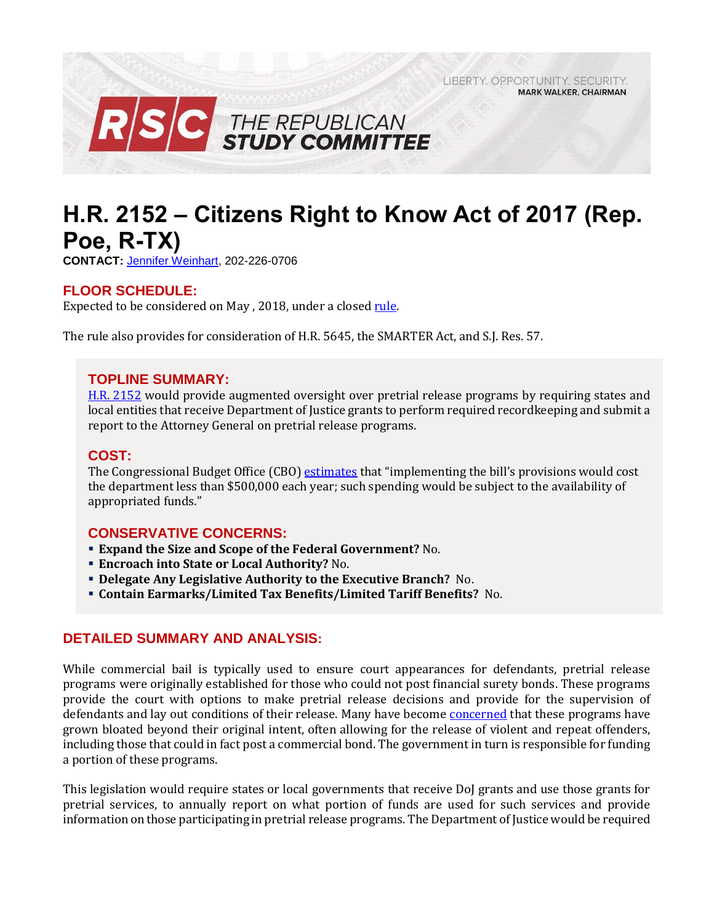LIBERTY, OPPORTUNITY, SECURITY, **MARK WALKER, CHAIRMAN** 



# **H.R. 2152 – Citizens Right to Know Act of 2017 (Rep. Poe, R-TX)**

**CONTACT:** [Jennifer Weinhart,](mailto:jennifer.weinhart@mail.house.gov) 202-226-0706

## **FLOOR SCHEDULE:**

Expected to be considered on May, 2018, under a closed [rule.](https://rules.house.gov/sites/republicans.rules.house.gov/files/Rule_HR5645HR2152SJRES57.pdf)

The rule also provides for consideration of H.R. 5645, the SMARTER Act, and S.J. Res. 57.

## **TOPLINE SUMMARY:**

H.R. [2152](https://www.gpo.gov/fdsys/pkg/BILLS-115hr2152rh/pdf/BILLS-115hr2152rh.pdf) would provide augmented oversight over pretrial release programs by requiring states and local entities that receive Department of Justice grants to perform required recordkeeping and submit a report to the Attorney General on pretrial release programs.

## **COST:**

The Congressional Budget Office (CBO) [estimates](https://www.cbo.gov/system/files/115th-congress-2017-2018/costestimate/hr2152.pdf) that "implementing the bill's provisions would cost the department less than \$500,000 each year; such spending would be subject to the availability of appropriated funds."

## **CONSERVATIVE CONCERNS:**

- **Expand the Size and Scope of the Federal Government?** No.
- **Encroach into State or Local Authority?** No.
- **Delegate Any Legislative Authority to the Executive Branch?** No.
- **Contain Earmarks/Limited Tax Benefits/Limited Tariff Benefits?** No.

#### **DETAILED SUMMARY AND ANALYSIS:**

While commercial bail is typically used to ensure court appearances for defendants, pretrial release programs were originally established for those who could not post financial surety bonds. These programs provide the court with options to make pretrial release decisions and provide for the supervision of defendants and lay out conditions of their release. Many have become [concerned](https://www.gpo.gov/fdsys/pkg/CRPT-115hrpt659/pdf/CRPT-115hrpt659.pdf) that these programs have grown bloated beyond their original intent, often allowing for the release of violent and repeat offenders, including those that could in fact post a commercial bond. The government in turn is responsible for funding a portion of these programs.

This legislation would require states or local governments that receive DoJ grants and use those grants for pretrial services, to annually report on what portion of funds are used for such services and provide information on those participating in pretrial release programs. The Department of Justice would be required